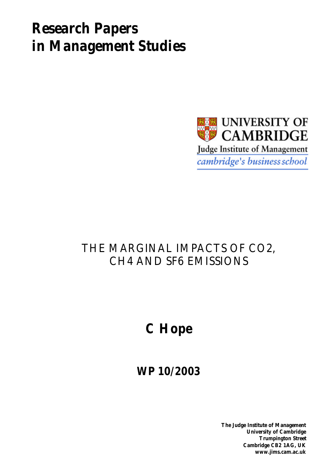# *Research Papers in Management Studies*



# THE MARGINAL IMPACTS OF CO2, CH4 AND SF6 EMISSIONS

# **C Hope**

**WP 10/2003**

**The Judge Institute of Management University of Cambridge Trumpington Street Cambridge CB2 1AG, UK www.jims.cam.ac.uk**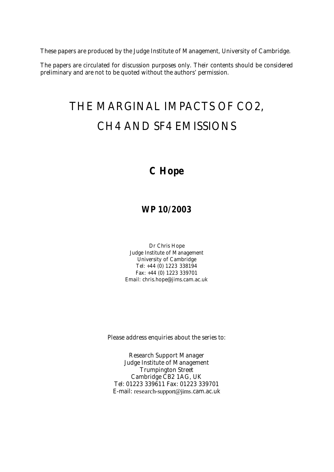These papers are produced by the Judge Institute of Management, University of Cambridge.

The papers are circulated for discussion purposes only. Their contents should be considered preliminary and are not to be quoted without the authors' permission.

# THE MARGINAL IMPACTS OF CO2, CH4 AND SF4 EMISSIONS

## **C Hope**

### **WP 10/2003**

Dr Chris Hope Judge Institute of Management University of Cambridge Tel: +44 (0) 1223 338194 Fax: +44 (0) 1223 339701 Email: chris.hope@jims.cam.ac.uk

Please address enquiries about the series to:

Research Support Manager Judge Institute of Management Trumpington Street Cambridge CB2 1AG, UK Tel: 01223 339611 Fax: 01223 339701 E-mail: research-support@jims.cam.ac.uk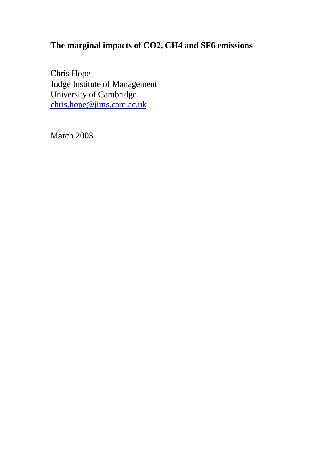## **The marginal impacts of CO2, CH4 and SF6 emissions**

Chris Hope Judge Institute of Management University of Cambridge chris.hope@jims.cam.ac.uk

March 2003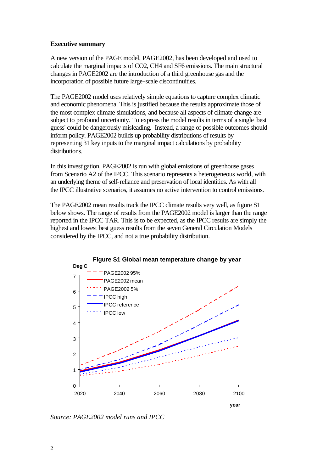#### **Executive summary**

A new version of the PAGE model, PAGE2002, has been developed and used to calculate the marginal impacts of CO2, CH4 and SF6 emissions. The main structural changes in PAGE2002 are the introduction of a third greenhouse gas and the incorporation of possible future large-scale discontinuities.

The PAGE2002 model uses relatively simple equations to capture complex climatic and economic phenomena. This is justified because the results approximate those of the most complex climate simulations, and because all aspects of climate change are subject to profound uncertainty. To express the model results in terms of a single 'best guess' could be dangerously misleading. Instead, a range of possible outcomes should inform policy. PAGE2002 builds up probability distributions of results by representing 31 key inputs to the marginal impact calculations by probability distributions.

In this investigation, PAGE2002 is run with global emissions of greenhouse gases from Scenario A2 of the IPCC. This scenario represents a heterogeneous world, with an underlying theme of self-reliance and preservation of local identities. As with all the IPCC illustrative scenarios, it assumes no active intervention to control emissions.

The PAGE2002 mean results track the IPCC climate results very well, as figure S1 below shows. The range of results from the PAGE2002 model is larger than the range reported in the IPCC TAR. This is to be expected, as the IPCC results are simply the highest and lowest best guess results from the seven General Circulation Models considered by the IPCC, and not a true probability distribution.



*Source: PAGE2002 model runs and IPCC*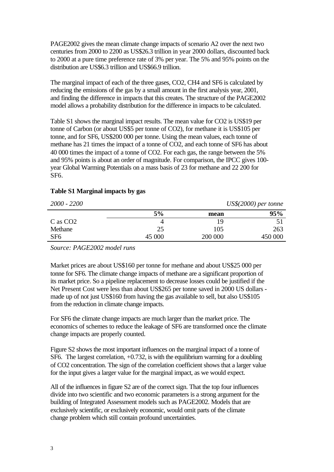PAGE2002 gives the mean climate change impacts of scenario A2 over the next two centuries from 2000 to 2200 as US\$26.3 trillion in year 2000 dollars, discounted back to 2000 at a pure time preference rate of 3% per year. The 5% and 95% points on the distribution are US\$6.3 trillion and US\$66.9 trillion.

The marginal impact of each of the three gases, CO2, CH4 and SF6 is calculated by reducing the emissions of the gas by a small amount in the first analysis year, 2001, and finding the difference in impacts that this creates. The structure of the PAGE2002 model allows a probability distribution for the difference in impacts to be calculated.

Table S1 shows the marginal impact results. The mean value for CO2 is US\$19 per tonne of Carbon (or about US\$5 per tonne of CO2), for methane it is US\$105 per tonne, and for SF6, US\$200 000 per tonne. Using the mean values, each tonne of methane has 21 times the impact of a tonne of CO2, and each tonne of SF6 has about 40 000 times the impact of a tonne of CO2. For each gas, the range between the 5% and 95% points is about an order of magnitude. For comparison, the IPCC gives 100 year Global Warming Potentials on a mass basis of 23 for methane and 22 200 for SF6.

| $2000 - 2200$        |        |         | $US$(2000)$ per tonne |
|----------------------|--------|---------|-----------------------|
|                      | 5%     | mean    | 95%                   |
| C as CO <sub>2</sub> | 4      | 19      |                       |
| Methane              | 25     | 105     | 263                   |
| SF <sub>6</sub>      | 45 000 | 200 000 | 450 000               |

#### **Table S1 Marginal impacts by gas**

*Source: PAGE2002 model runs*

Market prices are about US\$160 per tonne for methane and about US\$25 000 per tonne for SF6. The climate change impacts of methane are a significant proportion of its market price. So a pipeline replacement to decrease losses could be justified if the Net Present Cost were less than about US\$265 per tonne saved in 2000 US dollars made up of not just US\$160 from having the gas available to sell, but also US\$105 from the reduction in climate change impacts.

For SF6 the climate change impacts are much larger than the market price. The economics of schemes to reduce the leakage of SF6 are transformed once the climate change impacts are properly counted.

Figure S2 shows the most important influences on the marginal impact of a tonne of SF6. The largest correlation, +0.732, is with the equilibrium warming for a doubling of CO2 concentration. The sign of the correlation coefficient shows that a larger value for the input gives a larger value for the marginal impact, as we would expect.

All of the influences in figure S2 are of the correct sign. That the top four influences divide into two scientific and two economic parameters is a strong argument for the building of Integrated Assessment models such as PAGE2002. Models that are exclusively scientific, or exclusively economic, would omit parts of the climate change problem which still contain profound uncertainties.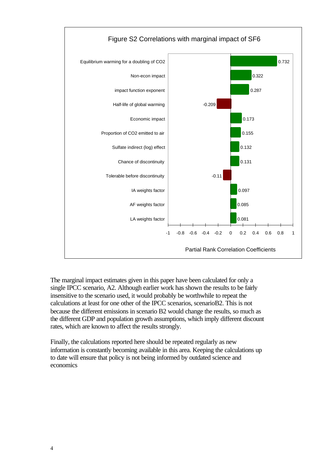

The marginal impact estimates given in this paper have been calculated for only a single IPCC scenario, A2. Although earlier work has shown the results to be fairly insensitive to the scenario used, it would probably be worthwhile to repeat the calculations at least for one other of the IPCC scenarios, scenarioB2. This is not because the different emissions in scenario B2 would change the results, so much as the different GDP and population growth assumptions, which imply different discount rates, which are known to affect the results strongly.

Finally, the calculations reported here should be repeated regularly as new information is constantly becoming available in this area. Keeping the calculations up to date will ensure that policy is not being informed by outdated science and economics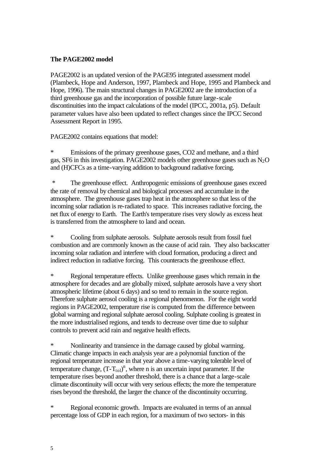### **The PAGE2002 model**

PAGE2002 is an updated version of the PAGE95 integrated assessment model (Plambeck, Hope and Anderson, 1997, Plambeck and Hope, 1995 and Plambeck and Hope, 1996). The main structural changes in PAGE2002 are the introduction of a third greenhouse gas and the incorporation of possible future large-scale discontinuities into the impact calculations of the model (IPCC, 2001a, p5). Default parameter values have also been updated to reflect changes since the IPCC Second Assessment Report in 1995.

PAGE2002 contains equations that model:

\* Emissions of the primary greenhouse gases, CO2 and methane, and a third gas, SF6 in this investigation. PAGE2002 models other greenhouse gases such as  $N_2O$ and (H)CFCs as a time-varying addition to background radiative forcing.

 \* The greenhouse effect. Anthropogenic emissions of greenhouse gases exceed the rate of removal by chemical and biological processes and accumulate in the atmosphere. The greenhouse gases trap heat in the atmosphere so that less of the incoming solar radiation is re-radiated to space. This increases radiative forcing, the net flux of energy to Earth. The Earth's temperature rises very slowly as excess heat is transferred from the atmosphere to land and ocean.

\* Cooling from sulphate aerosols. Sulphate aerosols result from fossil fuel combustion and are commonly known as the cause of acid rain. They also backscatter incoming solar radiation and interfere with cloud formation, producing a direct and indirect reduction in radiative forcing. This counteracts the greenhouse effect.

\* Regional temperature effects. Unlike greenhouse gases which remain in the atmosphere for decades and are globally mixed, sulphate aerosols have a very short atmospheric lifetime (about 6 days) and so tend to remain in the source region. Therefore sulphate aerosol cooling is a regional phenomenon. For the eight world regions in PAGE2002, temperature rise is computed from the difference between global warming and regional sulphate aerosol cooling. Sulphate cooling is greatest in the more industrialised regions, and tends to decrease over time due to sulphur controls to prevent acid rain and negative health effects.

Nonlinearity and transience in the damage caused by global warming. Climatic change impacts in each analysis year are a polynomial function of the regional temperature increase in that year above a time-varying tolerable level of temperature change,  $(T - T_{tol})^n$ , where n is an uncertain input parameter. If the temperature rises beyond another threshold, there is a chance that a large-scale climate discontinuity will occur with very serious effects; the more the temperature rises beyond the threshold, the larger the chance of the discontinuity occurring.

\* Regional economic growth. Impacts are evaluated in terms of an annual percentage loss of GDP in each region, for a maximum of two sectors- in this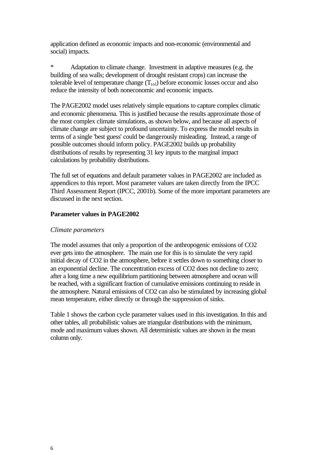application defined as economic impacts and non-economic (environmental and social) impacts.

\* Adaptation to climate change. Investment in adaptive measures (e.g. the building of sea walls; development of drought resistant crops) can increase the tolerable level of temperature change  $(T_{tol})$  before economic losses occur and also reduce the intensity of both noneconomic and economic impacts.

The PAGE2002 model uses relatively simple equations to capture complex climatic and economic phenomena. This is justified because the results approximate those of the most complex climate simulations, as shown below, and because all aspects of climate change are subject to profound uncertainty. To express the model results in terms of a single 'best guess' could be dangerously misleading. Instead, a range of possible outcomes should inform policy. PAGE2002 builds up probability distributions of results by representing 31 key inputs to the marginal impact calculations by probability distributions.

The full set of equations and default parameter values in PAGE2002 are included as appendices to this report. Most parameter values are taken directly from the IPCC Third Assessment Report (IPCC, 2001b). Some of the more important parameters are discussed in the next section.

#### **Parameter values in PAGE2002**

#### *Climate parameters*

The model assumes that only a proportion of the anthropogenic emissions of CO2 ever gets into the atmosphere. The main use for this is to simulate the very rapid initial decay of CO2 in the atmosphere, before it settles down to something closer to an exponential decline. The concentration excess of CO2 does not decline to zero; after a long time a new equilibrium partitioning between atmosphere and ocean will be reached, with a significant fraction of cumulative emissions continuing to reside in the atmosphere. Natural emissions of CO2 can also be stimulated by increasing global mean temperature, either directly or through the suppression of sinks.

Table 1 shows the carbon cycle parameter values used in this investigation. In this and other tables, all probabilistic values are triangular distributions with the minimum, mode and maximum values shown. All deterministic values are shown in the mean column only.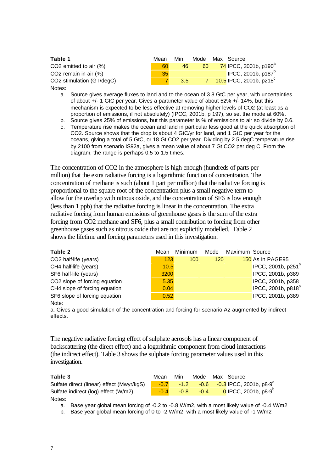| Table 1                   | Mean            | Min |    | Mode Max Source                         |
|---------------------------|-----------------|-----|----|-----------------------------------------|
| CO2 emitted to air (%)    | 60              | 46  | 60 | 74 IPCC, 2001b, p190 <sup>a</sup>       |
| CO2 remain in air (%)     | 35 <sub>1</sub> |     |    | IPCC, 2001b, p187 <sup>b</sup>          |
| CO2 stimulation (GT/degC) |                 | 3.5 |    | $7$ 10.5 IPCC, 2001b, p218 <sup>c</sup> |
| Notes:                    |                 |     |    |                                         |

- a. Source gives average fluxes to land and to the ocean of 3.8 GtC per year, with uncertainties of about +/- 1 GtC per year. Gives a parameter value of about 52% +/- 14%, but this mechanism is expected to be less effective at removing higher levels of CO2 (at least as a proportion of emissions, if not absolutely) (IPCC, 2001b, p 197), so set the mode at 60%.
- b. Source gives 25% of emissions, but this parameter is % of emissions to air so divide by 0.6.
- c. Temperature rise makes the ocean and land in particular less good at the quick absorption of CO2. Source shows that the drop is about 4 GtC/yr for land, and 1 GtC per year for the oceans, giving a total of 5 GtC, or 18 Gt CO2 per year. Dividing by 2.5 degC temperature rise by 2100 from scenario IS92a, gives a mean value of about 7 Gt CO2 per deg C. From the diagram, the range is perhaps 0.5 to 1.5 times.

The concentration of CO2 in the atmosphere is high enough (hundreds of parts per million) that the extra radiative forcing is a logarithmic function of concentration. The concentration of methane is such (about 1 part per million) that the radiative forcing is proportional to the square root of the concentration plus a small negative term to allow for the overlap with nitrous oxide, and the concentration of SF6 is low enough (less than 1 ppb) that the radiative forcing is linear in the concentration. The extra radiative forcing from human emissions of greenhouse gases is the sum of the extra forcing from CO2 methane and SF6, plus a small contribution to forcing from other greenhouse gases such as nitrous oxide that are not explicitly modelled. Table 2 shows the lifetime and forcing parameters used in this investigation.

| Table 2                       | Mean | Minimum | Mode | Maximum Source |                                |
|-------------------------------|------|---------|------|----------------|--------------------------------|
| CO2 half-life (years)         | 123  | 100     | 120  |                | $150$ As in PAGE95             |
| CH4 half-life (years)         | 10.5 |         |      |                | IPCC, 2001b, p251 <sup>a</sup> |
| SF6 half-life (years)         | 3200 |         |      |                | IPCC, 2001b, p389              |
| CO2 slope of forcing equation | 5.35 |         |      |                | IPCC, 2001b, p358              |
| CH4 slope of forcing equation | 0.04 |         |      |                | IPCC, 2001b, p818 <sup>a</sup> |
| SF6 slope of forcing equation | 0.52 |         |      |                | IPCC, 2001b, p389              |
| Note:                         |      |         |      |                |                                |

a. Gives a good simulation of the concentration and forcing for scenario A2 augmented by indirect effects.

The negative radiative forcing effect of sulphate aerosols has a linear component of backscattering (the direct effect) and a logarithmic component from cloud interactions (the indirect effect). Table 3 shows the sulphate forcing parameter values used in this investigation.

| Table 3                                   | Mean   | Min.   |        | Mode Max Source                                            |
|-------------------------------------------|--------|--------|--------|------------------------------------------------------------|
| Sulfate direct (linear) effect (Mwyr/kgS) |        |        |        | $-0.7$ $-1.2$ $-0.6$ $-0.3$ IPCC, 2001b, p8-9 <sup>a</sup> |
| Sulfate indirect (log) effect (W/m2)      | $-0.4$ | $-0.8$ | $-0.4$ | <b>0</b> IPCC, 2001b, $p8-9^b$                             |

Notes:

- a. Base year global mean forcing of -0.2 to -0.8 W/m2, with a most likely value of -0.4 W/m2
- b. Base year global mean forcing of 0 to -2 W/m2, with a most likely value of -1 W/m2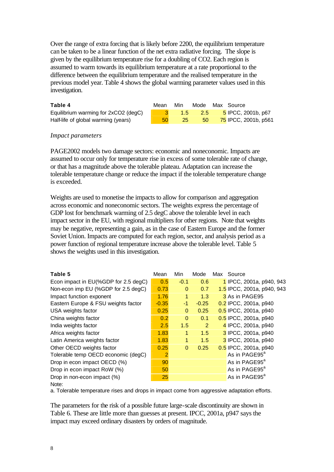Over the range of extra forcing that is likely before 2200, the equilibrium temperature can be taken to be a linear function of the net extra radiative forcing. The slope is given by the equilibrium temperature rise for a doubling of CO2. Each region is assumed to warm towards its equilibrium temperature at a rate proportional to the difference between the equilibrium temperature and the realised temperature in the previous model year. Table 4 shows the global warming parameter values used in this investigation.

| Equilibrium warming for 2xCO2 (deg) |
|-------------------------------------|
| Half-life of global warming (years) |

| Table 4                              | Mean      | Min.         |              | Mode Max Source      |
|--------------------------------------|-----------|--------------|--------------|----------------------|
| Equilibrium warming for 2xCO2 (degC) |           | 1.5          | $\sqrt{2.5}$ | $5$ IPCC, 2001b, p67 |
| Half-life of global warming (years)  | <b>50</b> | $25^{\circ}$ | -50          | 75 IPCC, 2001b, p561 |

#### *Impact parameters*

PAGE2002 models two damage sectors: economic and noneconomic. Impacts are assumed to occur only for temperature rise in excess of some tolerable rate of change, or that has a magnitude above the tolerable plateau. Adaptation can increase the tolerable temperature change or reduce the impact if the tolerable temperature change is exceeded.

Weights are used to monetise the impacts to allow for comparison and aggregation across economic and noneconomic sectors. The weights express the percentage of GDP lost for benchmark warming of 2.5 degC above the tolerable level in each impact sector in the EU, with regional multipliers for other regions. Note that weights may be negative, representing a gain, as in the case of Eastern Europe and the former Soviet Union. Impacts are computed for each region, sector, and analysis period as a power function of regional temperature increase above the tolerable level. Table 5 shows the weights used in this investigation.

| Table 5                              | Mean    | Min      | Mode    | Max Source                 |
|--------------------------------------|---------|----------|---------|----------------------------|
| Econ impact in EU(%GDP for 2.5 degC) | 0.5     | $-0.1$   | 0.6     | 1 IPCC, 2001a, p940, 943   |
| Non-econ imp EU (%GDP for 2.5 degC)  | 0.73    | $\Omega$ | 0.7     | 1.5 IPCC, 2001a, p940, 943 |
| Impact function exponent             | 1.76    | 1        | 1.3     | 3 As in PAGE95             |
| Eastern Europe & FSU weights factor  | $-0.35$ | -1       | $-0.25$ | 0.2 IPCC, 2001a, p940      |
| USA weights factor                   | 0.25    | $\Omega$ | 0.25    | 0.5 IPCC, 2001a, p940      |
| China weights factor                 | 0.2     | $\Omega$ | 0.1     | 0.5 IPCC, 2001a, p940      |
| India weights factor                 | 2.5     | 1.5      | 2       | 4 IPCC, 2001a, p940        |
| Africa weights factor                | 1.83    | 1        | 1.5     | 3 IPCC, 2001a, p940        |
| Latin America weights factor         | 1.83    | 1        | 1.5     | 3 IPCC, 2001a, p940        |
| Other OECD weights factor            | 0.25    | $\Omega$ | 0.25    | 0.5 IPCC, 2001a, p940      |
| Tolerable temp OECD economic (degC)  | 2       |          |         | As in PAGE95 <sup>a</sup>  |
| Drop in econ impact OECD (%)         | 90      |          |         | As in PAGE95 <sup>a</sup>  |
| Drop in econ impact RoW (%)          | 50      |          |         | As in PAGE95 <sup>a</sup>  |
| Drop in non-econ impact (%)          | 25      |          |         | As in PAGE95 <sup>a</sup>  |
| Note:                                |         |          |         |                            |

a. Tolerable temperature rises and drops in impact come from aggressive adaptation efforts.

The parameters for the risk of a possible future large-scale discontinuity are shown in Table 6. These are little more than guesses at present. IPCC, 2001a, p947 says the impact may exceed ordinary disasters by orders of magnitude.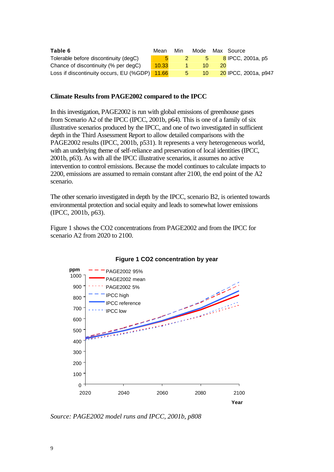| Table 6                                       | Mean      | Min.        |             |     | Mode Max Source      |
|-----------------------------------------------|-----------|-------------|-------------|-----|----------------------|
| Tolerable before discontinuity (degC)         | <b>67</b> | $2^{\circ}$ | <b>45 V</b> |     | 8 IPCC, 2001a, p5    |
| Chance of discontinuity (% per degC)          | 10.33     |             | 10.         | 20. |                      |
| Loss if discontinuity occurs, EU (%GDP) 11.66 |           | 5.          | 10          |     | 20 IPCC, 2001a, p947 |

#### **Climate Results from PAGE2002 compared to the IPCC**

In this investigation, PAGE2002 is run with global emissions of greenhouse gases from Scenario A2 of the IPCC (IPCC, 2001b, p64). This is one of a family of six illustrative scenarios produced by the IPCC, and one of two investigated in sufficient depth in the Third Assessment Report to allow detailed comparisons with the PAGE2002 results (IPCC, 2001b, p531). It represents a very heterogeneous world, with an underlying theme of self-reliance and preservation of local identities (IPCC, 2001b, p63). As with all the IPCC illustrative scenarios, it assumes no active intervention to control emissions. Because the model continues to calculate impacts to 2200, emissions are assumed to remain constant after 2100, the end point of the A2 scenario.

The other scenario investigated in depth by the IPCC, scenario B2, is oriented towards environmental protection and social equity and leads to somewhat lower emissions (IPCC, 2001b, p63).

Figure 1 shows the CO2 concentrations from PAGE2002 and from the IPCC for scenario A2 from 2020 to 2100.



#### **Figure 1 CO2 concentration by year**

*Source: PAGE2002 model runs and IPCC, 2001b, p808*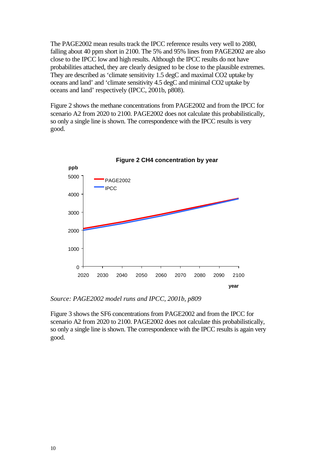The PAGE2002 mean results track the IPCC reference results very well to 2080, falling about 40 ppm short in 2100. The 5% and 95% lines from PAGE2002 are also close to the IPCC low and high results. Although the IPCC results do not have probabilities attached, they are clearly designed to be close to the plausible extremes. They are described as 'climate sensitivity 1.5 degC and maximal CO2 uptake by oceans and land' and 'climate sensitivity 4.5 degC and minimal CO2 uptake by oceans and land' respectively (IPCC, 2001b, p808).

Figure 2 shows the methane concentrations from PAGE2002 and from the IPCC for scenario A2 from 2020 to 2100. PAGE2002 does not calculate this probabilistically, so only a single line is shown. The correspondence with the IPCC results is very good.



*Source: PAGE2002 model runs and IPCC, 2001b, p809*

Figure 3 shows the SF6 concentrations from PAGE2002 and from the IPCC for scenario A2 from 2020 to 2100. PAGE2002 does not calculate this probabilistically, so only a single line is shown. The correspondence with the IPCC results is again very good.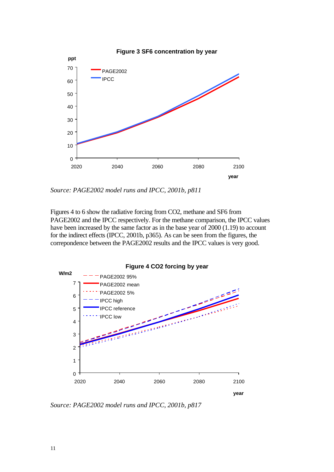

*Source: PAGE2002 model runs and IPCC, 2001b, p811*

Figures 4 to 6 show the radiative forcing from CO2, methane and SF6 from PAGE2002 and the IPCC respectively. For the methane comparison, the IPCC values have been increased by the same factor as in the base year of 2000 (1.19) to account for the indirect effects (IPCC, 2001b, p365). As can be seen from the figures, the correpondence between the PAGE2002 results and the IPCC values is very good.



*Source: PAGE2002 model runs and IPCC, 2001b, p817*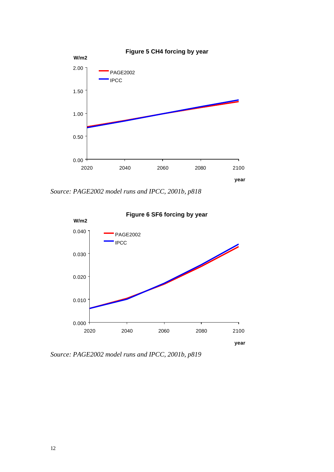

*Source: PAGE2002 model runs and IPCC, 2001b, p818*



*Source: PAGE2002 model runs and IPCC, 2001b, p819*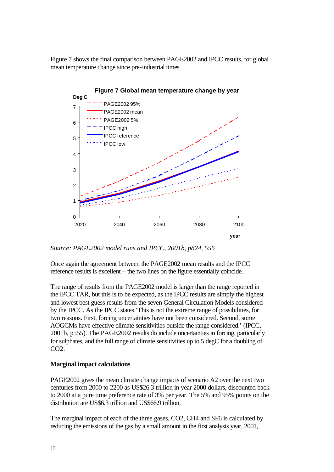Figure 7 shows the final comparison between PAGE2002 and IPCC results, for global mean temperature change since pre-industrial times.



*Source: PAGE2002 model runs and IPCC, 2001b, p824, 556*

Once again the agreement between the PAGE2002 mean results and the IPCC reference results is excellent – the two lines on the figure essentially coincide.

The range of results from the PAGE2002 model is larger than the range reported in the IPCC TAR, but this is to be expected, as the IPCC results are simply the highest and lowest best guess results from the seven General Circulation Models considered by the IPCC. As the IPCC states 'This is not the extreme range of possibilities, for two reasons. First, forcing uncertainties have not been considered. Second, some AOGCMs have effective climate sensitivities outside the range considered.' (IPCC, 2001b, p555). The PAGE2002 results do include uncertainties in forcing, particularly for sulphates, and the full range of climate sensitivities up to 5 degC for a doubling of CO2.

#### **Marginal impact calculations**

PAGE2002 gives the mean climate change impacts of scenario A2 over the next two centuries from 2000 to 2200 as US\$26.3 trillion in year 2000 dollars, discounted back to 2000 at a pure time preference rate of 3% per year. The 5% and 95% points on the distribution are US\$6.3 trillion and US\$66.9 trillion.

The marginal impact of each of the three gases, CO2, CH4 and SF6 is calculated by reducing the emissions of the gas by a small amount in the first analysis year, 2001,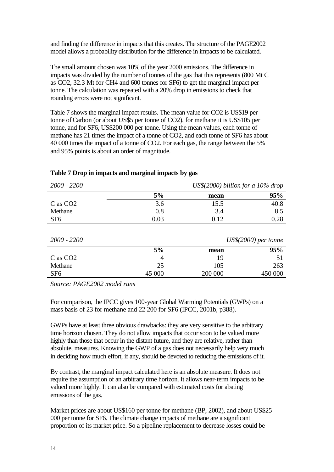and finding the difference in impacts that this creates. The structure of the PAGE2002 model allows a probability distribution for the difference in impacts to be calculated.

The small amount chosen was 10% of the year 2000 emissions. The difference in impacts was divided by the number of tonnes of the gas that this represents (800 Mt C as CO2, 32.3 Mt for CH4 and 600 tonnes for SF6) to get the marginal impact per tonne. The calculation was repeated with a 20% drop in emissions to check that rounding errors were not significant.

Table 7 shows the marginal impact results. The mean value for CO2 is US\$19 per tonne of Carbon (or about US\$5 per tonne of CO2), for methane it is US\$105 per tonne, and for SF6, US\$200 000 per tonne. Using the mean values, each tonne of methane has 21 times the impact of a tonne of CO2, and each tonne of SF6 has about 40 000 times the impact of a tonne of CO2. For each gas, the range between the 5% and 95% points is about an order of magnitude.

| $2000 - 2200$        | $US$(2000)$ billion for a $10\%$ drop |         |                      |  |
|----------------------|---------------------------------------|---------|----------------------|--|
|                      | 5%                                    | mean    | 95%                  |  |
| C as CO <sub>2</sub> | 3.6                                   | 15.5    | 40.8                 |  |
| Methane              | 0.8                                   | 3.4     | 8.5                  |  |
| SF <sub>6</sub>      | 0.03                                  | 0.12    | 0.28                 |  |
|                      |                                       |         |                      |  |
| $2000 - 2200$        |                                       |         | US\$(2000) per tonne |  |
|                      | 5%                                    | mean    | 95%                  |  |
| C as CO <sub>2</sub> | 4                                     | 19      | 51                   |  |
| Methane              | 25                                    | 105     | 263                  |  |
| SF <sub>6</sub>      | 45 000                                | 200 000 | 450 000              |  |

#### **Table 7 Drop in impacts and marginal impacts by gas**

*Source: PAGE2002 model runs*

For comparison, the IPCC gives 100-year Global Warming Potentials (GWPs) on a mass basis of 23 for methane and 22 200 for SF6 (IPCC, 2001b, p388).

GWPs have at least three obvious drawbacks: they are very sensitive to the arbitrary time horizon chosen. They do not allow impacts that occur soon to be valued more highly than those that occur in the distant future, and they are relative, rather than absolute, measures. Knowing the GWP of a gas does not necessarily help very much in deciding how much effort, if any, should be devoted to reducing the emissions of it.

By contrast, the marginal impact calculated here is an absolute measure. It does not require the assumption of an arbitrary time horizon. It allows near-term impacts to be valued more highly. It can also be compared with estimated costs for abating emissions of the gas.

Market prices are about US\$160 per tonne for methane (BP, 2002), and about US\$25 000 per tonne for SF6. The climate change impacts of methane are a significant proportion of its market price. So a pipeline replacement to decrease losses could be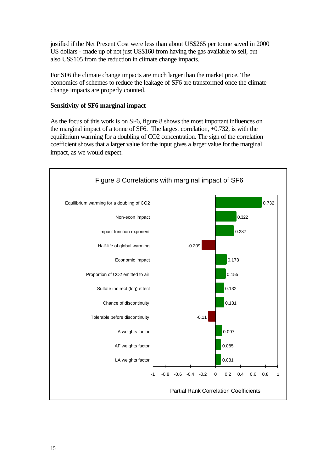justified if the Net Present Cost were less than about US\$265 per tonne saved in 2000 US dollars - made up of not just US\$160 from having the gas available to sell, but also US\$105 from the reduction in climate change impacts.

For SF6 the climate change impacts are much larger than the market price. The economics of schemes to reduce the leakage of SF6 are transformed once the climate change impacts are properly counted.

#### **Sensitivity of SF6 marginal impact**

As the focus of this work is on SF6, figure 8 shows the most important influences on the marginal impact of a tonne of SF6. The largest correlation, +0.732, is with the equilibrium warming for a doubling of CO2 concentration. The sign of the correlation coefficient shows that a larger value for the input gives a larger value for the marginal impact, as we would expect.

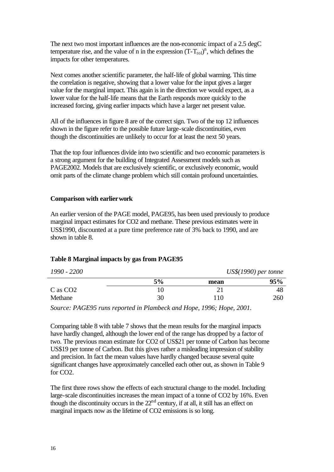The next two most important influences are the non-economic impact of a 2.5 degC temperature rise, and the value of n in the expression  $(T-T_{tol})^n$ , which defines the impacts for other temperatures.

Next comes another scientific parameter, the half-life of global warming. This time the correlation is negative, showing that a lower value for the input gives a larger value for the marginal impact. This again is in the direction we would expect, as a lower value for the half-life means that the Earth responds more quickly to the increased forcing, giving earlier impacts which have a larger net present value.

All of the influences in figure 8 are of the correct sign. Two of the top 12 influences shown in the figure refer to the possible future large-scale discontinuities, even though the discontinuities are unlikely to occur for at least the next 50 years.

That the top four influences divide into two scientific and two economic parameters is a strong argument for the building of Integrated Assessment models such as PAGE2002. Models that are exclusively scientific, or exclusively economic, would omit parts of the climate change problem which still contain profound uncertainties.

#### **Comparison with earlier work**

An earlier version of the PAGE model, PAGE95, has been used previously to produce marginal impact estimates for CO2 and methane. These previous estimates were in US\$1990, discounted at a pure time preference rate of 3% back to 1990, and are shown in table 8.

### **Table 8 Marginal impacts by gas from PAGE95**

| 1990 - 2200          |    |      | $US$(1990)$ per tonne |
|----------------------|----|------|-----------------------|
|                      | 5% | mean | 95%                   |
| C as CO <sub>2</sub> |    |      | 48                    |
| Methane              | 30 | 10   | 260                   |

*Source: PAGE95 runs reported in Plambeck and Hope, 1996; Hope, 2001.*

Comparing table 8 with table 7 shows that the mean results for the marginal impacts have hardly changed, although the lower end of the range has dropped by a factor of two. The previous mean estimate for CO2 of US\$21 per tonne of Carbon has become US\$19 per tonne of Carbon. But this gives rather a misleading impression of stability and precision. In fact the mean values have hardly changed because several quite significant changes have approximately cancelled each other out, as shown in Table 9 for CO2.

The first three rows show the effects of each structural change to the model. Including large-scale discontinuities increases the mean impact of a tonne of CO2 by 16%. Even though the discontinuity occurs in the  $22<sup>nd</sup>$  century, if at all, it still has an effect on marginal impacts now as the lifetime of CO2 emissions is so long.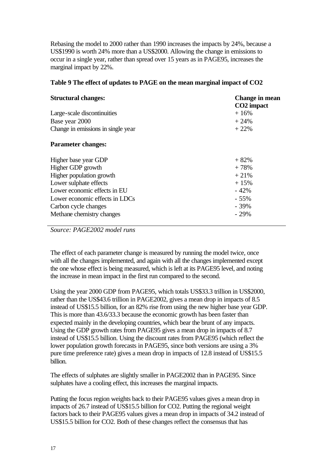Rebasing the model to 2000 rather than 1990 increases the impacts by 24%, because a US\$1990 is worth 24% more than a US\$2000. Allowing the change in emissions to occur in a single year, rather than spread over 15 years as in PAGE95, increases the marginal impact by 22%.

| <b>Structural changes:</b>         | Change in mean<br>CO <sub>2</sub> impact |
|------------------------------------|------------------------------------------|
| Large-scale discontinuities        | $+16%$                                   |
| Base year 2000                     | $+24%$                                   |
| Change in emissions in single year | $+22%$                                   |
| <b>Parameter changes:</b>          |                                          |
| Higher base year GDP               | $+82%$                                   |
| Higher GDP growth                  | $+78%$                                   |
| Higher population growth           | $+21%$                                   |
| Lower sulphate effects             | $+15%$                                   |
| Lower economic effects in EU       | $-42%$                                   |
| Lower economic effects in LDCs     | $-55%$                                   |
| Carbon cycle changes               | $-39\%$                                  |
| Methane chemistry changes          | $-29%$                                   |

#### **Table 9 The effect of updates to PAGE on the mean marginal impact of CO2**

*Source: PAGE2002 model runs*

The effect of each parameter change is measured by running the model twice, once with all the changes implemented, and again with all the changes implemented except the one whose effect is being measured, which is left at its PAGE95 level, and noting the increase in mean impact in the first run compared to the second.

Using the year 2000 GDP from PAGE95, which totals US\$33.3 trillion in US\$2000, rather than the US\$43.6 trillion in PAGE2002, gives a mean drop in impacts of 8.5 instead of US\$15.5 billion, for an 82% rise from using the new higher base year GDP. This is more than 43.6/33.3 because the economic growth has been faster than expected mainly in the developing countries, which bear the brunt of any impacts. Using the GDP growth rates from PAGE95 gives a mean drop in impacts of 8.7 instead of US\$15.5 billion. Using the discount rates from PAGE95 (which reflect the lower population growth forecasts in PAGE95, since both versions are using a 3% pure time preference rate) gives a mean drop in impacts of 12.8 instead of US\$15.5 billion.

The effects of sulphates are slightly smaller in PAGE2002 than in PAGE95. Since sulphates have a cooling effect, this increases the marginal impacts.

Putting the focus region weights back to their PAGE95 values gives a mean drop in impacts of 26.7 instead of US\$15.5 billion for CO2. Putting the regional weight factors back to their PAGE95 values gives a mean drop in impacts of 34.2 instead of US\$15.5 billion for CO2. Both of these changes reflect the consensus that has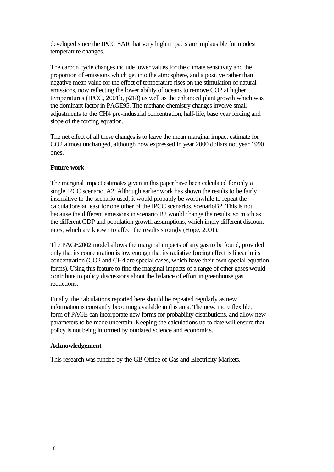developed since the IPCC SAR that very high impacts are implausible for modest temperature changes.

The carbon cycle changes include lower values for the climate sensitivity and the proportion of emissions which get into the atmosphere, and a positive rather than negative mean value for the effect of temperature rises on the stimulation of natural emissions, now reflecting the lower ability of oceans to remove CO2 at higher temperatures (IPCC, 2001b, p218) as well as the enhanced plant growth which was the dominant factor in PAGE95. The methane chemistry changes involve small adjustments to the CH4 pre-industrial concentration, half-life, base year forcing and slope of the forcing equation.

The net effect of all these changes is to leave the mean marginal impact estimate for CO2 almost unchanged, although now expressed in year 2000 dollars not year 1990 ones.

#### **Future work**

The marginal impact estimates given in this paper have been calculated for only a single IPCC scenario, A2. Although earlier work has shown the results to be fairly insensitive to the scenario used, it would probably be worthwhile to repeat the calculations at least for one other of the IPCC scenarios, scenarioB2. This is not because the different emissions in scenario B2 would change the results, so much as the different GDP and population growth assumptions, which imply different discount rates, which are known to affect the results strongly (Hope, 2001).

The PAGE2002 model allows the marginal impacts of any gas to be found, provided only that its concentration is low enough that its radiative forcing effect is linear in its concentration (CO2 and CH4 are special cases, which have their own special equation forms). Using this feature to find the marginal impacts of a range of other gases would contribute to policy discussions about the balance of effort in greenhouse gas reductions.

Finally, the calculations reported here should be repeated regularly as new information is constantly becoming available in this area. The new, more flexible, form of PAGE can incorporate new forms for probability distributions, and allow new parameters to be made uncertain. Keeping the calculations up to date will ensure that policy is not being informed by outdated science and economics.

#### **Acknowledgement**

This research was funded by the GB Office of Gas and Electricity Markets.